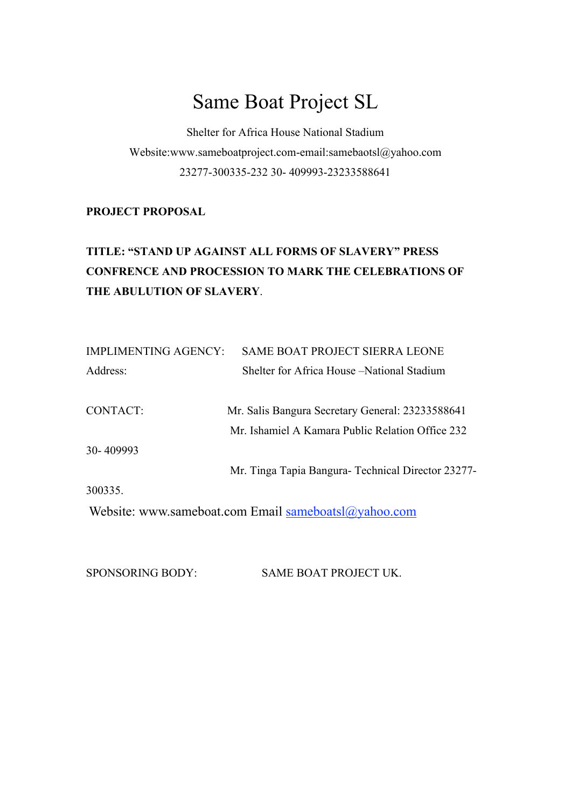# Same Boat Project SL

Shelter for Africa House National Stadium Website:www.sameboatproject.com-email:samebaotsl@yahoo.com 23277-300335-232 30- 409993-23233588641

### **PROJECT PROPOSAL**

# **TITLE: "STAND UP AGAINST ALL FORMS OF SLAVERY" PRESS CONFRENCE AND PROCESSION TO MARK THE CELEBRATIONS OF THE ABULUTION OF SLAVERY**.

| <b>IMPLIMENTING AGENCY:</b> | <b>SAME BOAT PROJECT SIERRA LEONE</b>                |
|-----------------------------|------------------------------------------------------|
| Address:                    | Shelter for Africa House – National Stadium          |
| CONTACT:                    | Mr. Salis Bangura Secretary General: 23233588641     |
|                             | Mr. Ishamiel A Kamara Public Relation Office 232     |
| 30-409993                   |                                                      |
|                             | Mr. Tinga Tapia Bangura- Technical Director 23277-   |
| 300335.                     |                                                      |
|                             | Website: www.sameboat.com Email sameboatsl@yahoo.com |

SPONSORING BODY: SAME BOAT PROJECT UK.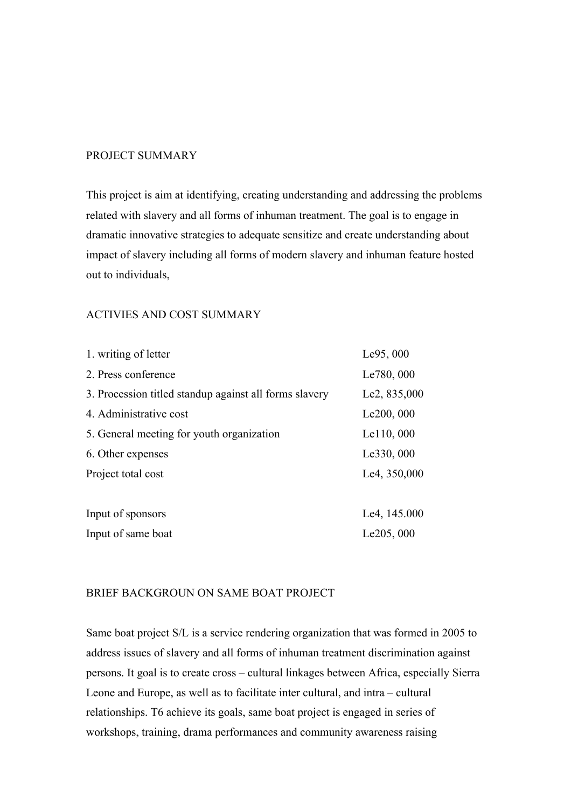#### PROJECT SUMMARY

This project is aim at identifying, creating understanding and addressing the problems related with slavery and all forms of inhuman treatment. The goal is to engage in dramatic innovative strategies to adequate sensitize and create understanding about impact of slavery including all forms of modern slavery and inhuman feature hosted out to individuals,

#### ACTIVIES AND COST SUMMARY

| 1. writing of letter                                   | Le95, 000    |
|--------------------------------------------------------|--------------|
| 2. Press conference                                    | Le780, 000   |
| 3. Procession titled standup against all forms slavery | Le2, 835,000 |
| 4. Administrative cost                                 | Le200, 000   |
| 5. General meeting for youth organization              | Le110, 000   |
| 6. Other expenses                                      | Le330, 000   |
| Project total cost                                     | Le4, 350,000 |
|                                                        |              |
| Input of sponsors                                      | Le4, 145.000 |
| Input of same boat                                     | Le205, 000   |

#### BRIEF BACKGROUN ON SAME BOAT PROJECT

Same boat project S/L is a service rendering organization that was formed in 2005 to address issues of slavery and all forms of inhuman treatment discrimination against persons. It goal is to create cross – cultural linkages between Africa, especially Sierra Leone and Europe, as well as to facilitate inter cultural, and intra – cultural relationships. T6 achieve its goals, same boat project is engaged in series of workshops, training, drama performances and community awareness raising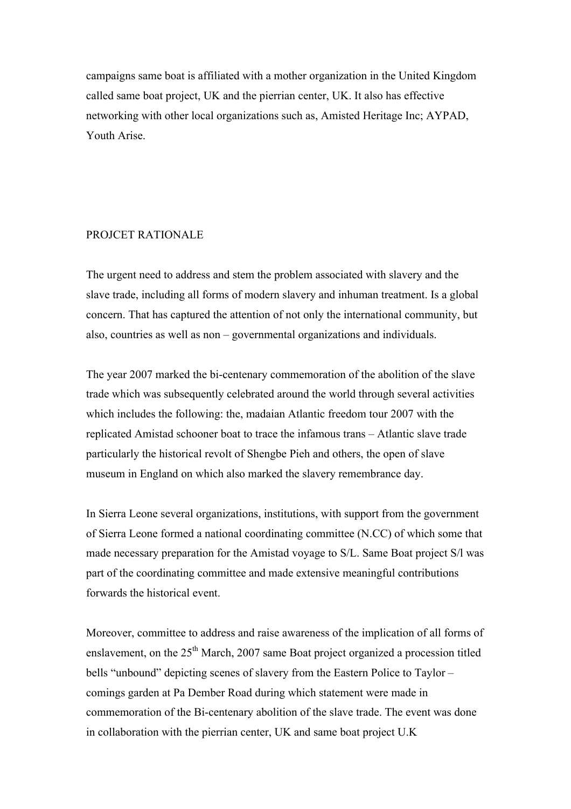campaigns same boat is affiliated with a mother organization in the United Kingdom called same boat project, UK and the pierrian center, UK. It also has effective networking with other local organizations such as, Amisted Heritage Inc; AYPAD, Youth Arise.

#### PROJCET RATIONALE

The urgent need to address and stem the problem associated with slavery and the slave trade, including all forms of modern slavery and inhuman treatment. Is a global concern. That has captured the attention of not only the international community, but also, countries as well as non – governmental organizations and individuals.

The year 2007 marked the bi-centenary commemoration of the abolition of the slave trade which was subsequently celebrated around the world through several activities which includes the following: the, madaian Atlantic freedom tour 2007 with the replicated Amistad schooner boat to trace the infamous trans – Atlantic slave trade particularly the historical revolt of Shengbe Pieh and others, the open of slave museum in England on which also marked the slavery remembrance day.

In Sierra Leone several organizations, institutions, with support from the government of Sierra Leone formed a national coordinating committee (N.CC) of which some that made necessary preparation for the Amistad voyage to S/L. Same Boat project S/l was part of the coordinating committee and made extensive meaningful contributions forwards the historical event.

Moreover, committee to address and raise awareness of the implication of all forms of enslavement, on the  $25<sup>th</sup>$  March, 2007 same Boat project organized a procession titled bells "unbound" depicting scenes of slavery from the Eastern Police to Taylor – comings garden at Pa Dember Road during which statement were made in commemoration of the Bi-centenary abolition of the slave trade. The event was done in collaboration with the pierrian center, UK and same boat project U.K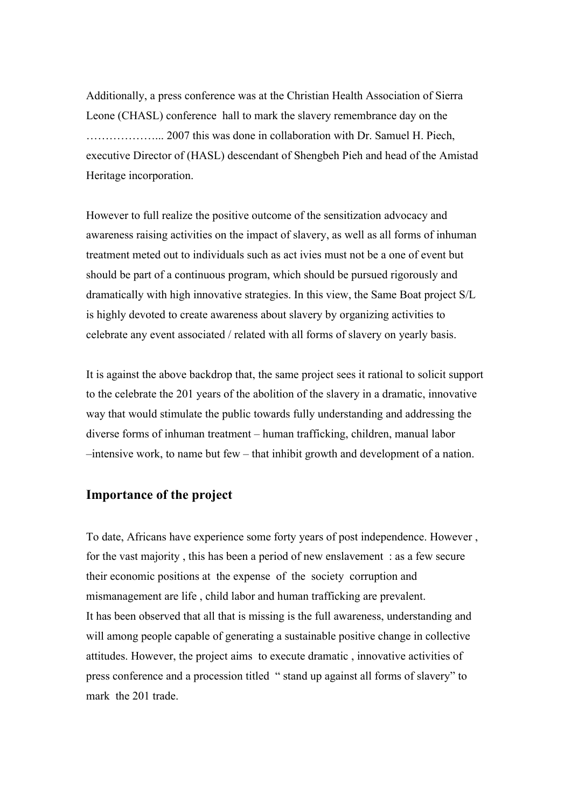Additionally, a press conference was at the Christian Health Association of Sierra Leone (CHASL) conference hall to mark the slavery remembrance day on the ………………... 2007 this was done in collaboration with Dr. Samuel H. Piech, executive Director of (HASL) descendant of Shengbeh Pieh and head of the Amistad Heritage incorporation.

However to full realize the positive outcome of the sensitization advocacy and awareness raising activities on the impact of slavery, as well as all forms of inhuman treatment meted out to individuals such as act ivies must not be a one of event but should be part of a continuous program, which should be pursued rigorously and dramatically with high innovative strategies. In this view, the Same Boat project S/L is highly devoted to create awareness about slavery by organizing activities to celebrate any event associated / related with all forms of slavery on yearly basis.

It is against the above backdrop that, the same project sees it rational to solicit support to the celebrate the 201 years of the abolition of the slavery in a dramatic, innovative way that would stimulate the public towards fully understanding and addressing the diverse forms of inhuman treatment – human trafficking, children, manual labor –intensive work, to name but few – that inhibit growth and development of a nation.

### **Importance of the project**

To date, Africans have experience some forty years of post independence. However , for the vast majority , this has been a period of new enslavement : as a few secure their economic positions at the expense of the society corruption and mismanagement are life , child labor and human trafficking are prevalent. It has been observed that all that is missing is the full awareness, understanding and will among people capable of generating a sustainable positive change in collective attitudes. However, the project aims to execute dramatic , innovative activities of press conference and a procession titled " stand up against all forms of slavery" to mark the 201 trade.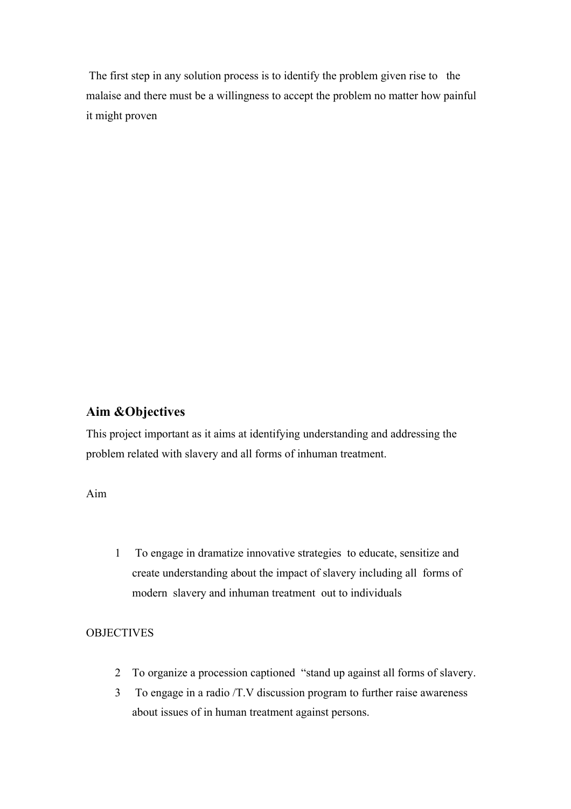The first step in any solution process is to identify the problem given rise to the malaise and there must be a willingness to accept the problem no matter how painful it might proven

## **Aim &Objectives**

This project important as it aims at identifying understanding and addressing the problem related with slavery and all forms of inhuman treatment.

Aim

1 To engage in dramatize innovative strategies to educate, sensitize and create understanding about the impact of slavery including all forms of modern slavery and inhuman treatment out to individuals

### **OBJECTIVES**

- 2 To organize a procession captioned "stand up against all forms of slavery.
- 3 To engage in a radio /T.V discussion program to further raise awareness about issues of in human treatment against persons.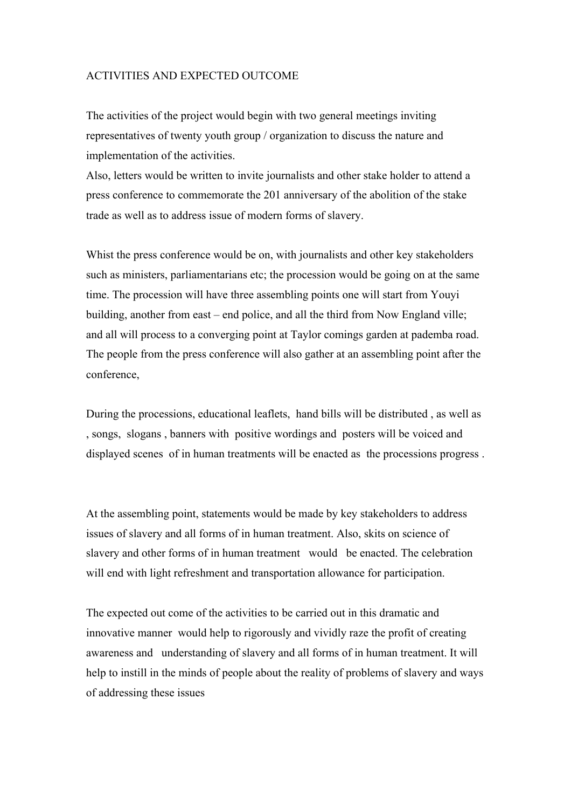#### ACTIVITIES AND EXPECTED OUTCOME

The activities of the project would begin with two general meetings inviting representatives of twenty youth group / organization to discuss the nature and implementation of the activities.

Also, letters would be written to invite journalists and other stake holder to attend a press conference to commemorate the 201 anniversary of the abolition of the stake trade as well as to address issue of modern forms of slavery.

Whist the press conference would be on, with journalists and other key stakeholders such as ministers, parliamentarians etc; the procession would be going on at the same time. The procession will have three assembling points one will start from Youyi building, another from east – end police, and all the third from Now England ville; and all will process to a converging point at Taylor comings garden at pademba road. The people from the press conference will also gather at an assembling point after the conference,

During the processions, educational leaflets, hand bills will be distributed , as well as , songs, slogans , banners with positive wordings and posters will be voiced and displayed scenes of in human treatments will be enacted as the processions progress .

At the assembling point, statements would be made by key stakeholders to address issues of slavery and all forms of in human treatment. Also, skits on science of slavery and other forms of in human treatment would be enacted. The celebration will end with light refreshment and transportation allowance for participation.

The expected out come of the activities to be carried out in this dramatic and innovative manner would help to rigorously and vividly raze the profit of creating awareness and understanding of slavery and all forms of in human treatment. It will help to instill in the minds of people about the reality of problems of slavery and ways of addressing these issues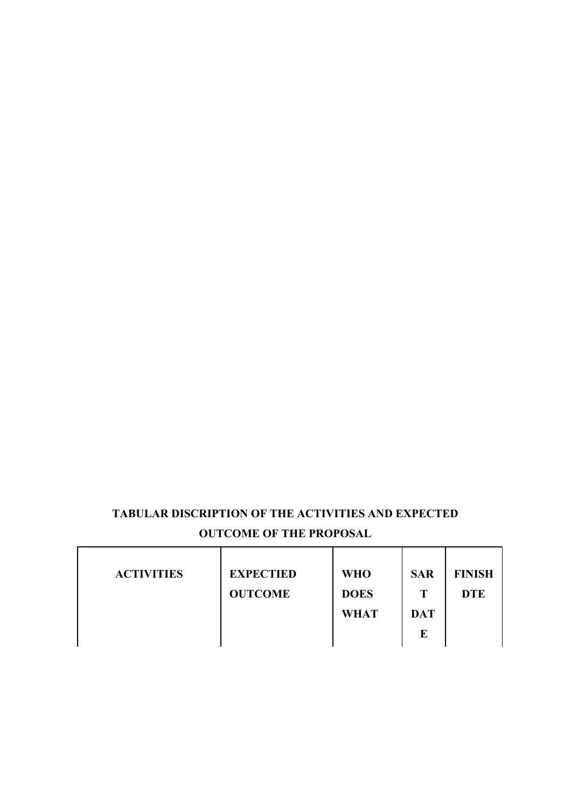# **TABULAR DISCRIPTION OF THE ACTIVITIES AND EXPECTED OUTCOME OF THE PROPOSAL**

| <b>ACTIVITIES</b> | <b>EXPECTIED</b> | <b>WHO</b>  | <b>SAR</b> | <b>FINISH</b> |
|-------------------|------------------|-------------|------------|---------------|
|                   | <b>OUTCOME</b>   | <b>DOES</b> | Т          | <b>DTE</b>    |
|                   |                  | <b>WHAT</b> | <b>DAT</b> |               |
|                   |                  |             | E          |               |
|                   |                  |             |            |               |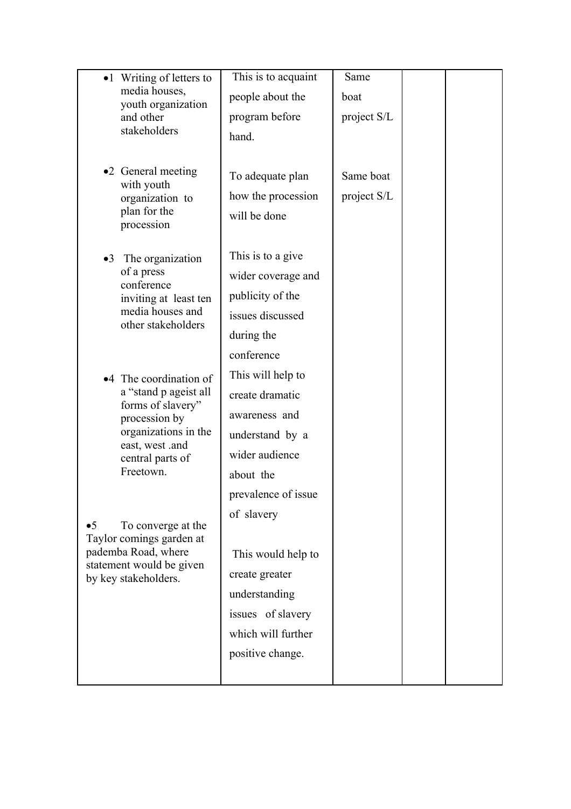| •1 Writing of letters to<br>media houses,<br>youth organization<br>and other<br>stakeholders |                                            | This is to acquaint | Same        |  |
|----------------------------------------------------------------------------------------------|--------------------------------------------|---------------------|-------------|--|
|                                                                                              |                                            | people about the    | boat        |  |
|                                                                                              |                                            | program before      | project S/L |  |
|                                                                                              | hand.                                      |                     |             |  |
|                                                                                              |                                            |                     |             |  |
|                                                                                              | •2 General meeting                         | To adequate plan    | Same boat   |  |
|                                                                                              | with youth<br>organization to              | how the procession  | project S/L |  |
|                                                                                              | plan for the                               | will be done        |             |  |
|                                                                                              | procession                                 |                     |             |  |
|                                                                                              | •3 The organization                        | This is to a give   |             |  |
|                                                                                              | of a press<br>conference                   | wider coverage and  |             |  |
|                                                                                              | inviting at least ten                      | publicity of the    |             |  |
|                                                                                              | media houses and<br>other stakeholders     | issues discussed    |             |  |
|                                                                                              |                                            | during the          |             |  |
|                                                                                              |                                            | conference          |             |  |
|                                                                                              | •4 The coordination of                     | This will help to   |             |  |
|                                                                                              | a "stand p ageist all<br>forms of slavery" | create dramatic     |             |  |
|                                                                                              | procession by                              | awareness and       |             |  |
|                                                                                              | organizations in the<br>east, west .and    | understand by a     |             |  |
|                                                                                              | central parts of                           | wider audience      |             |  |
| Freetown.                                                                                    |                                            | about the           |             |  |
|                                                                                              |                                            | prevalence of issue |             |  |
| $\bullet 5$                                                                                  | To converge at the                         | of slavery          |             |  |
|                                                                                              | Taylor comings garden at                   |                     |             |  |
|                                                                                              | pademba Road, where                        | This would help to  |             |  |
| statement would be given<br>by key stakeholders.                                             | create greater                             |                     |             |  |
|                                                                                              |                                            | understanding       |             |  |
|                                                                                              |                                            | issues of slavery   |             |  |
|                                                                                              |                                            | which will further  |             |  |
|                                                                                              |                                            | positive change.    |             |  |
|                                                                                              |                                            |                     |             |  |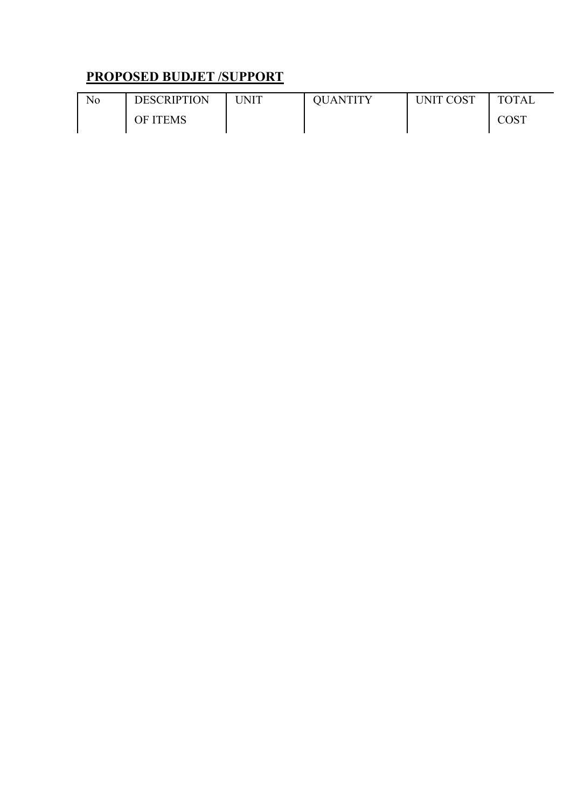# **PROPOSED BUDJET /SUPPORT**

| No | <b>DESCRIPTION</b> | UNIT | OUANTITY | UNIT COST | <b>TOTAL</b> |
|----|--------------------|------|----------|-----------|--------------|
|    | OF ITEMS           |      |          |           | COST         |